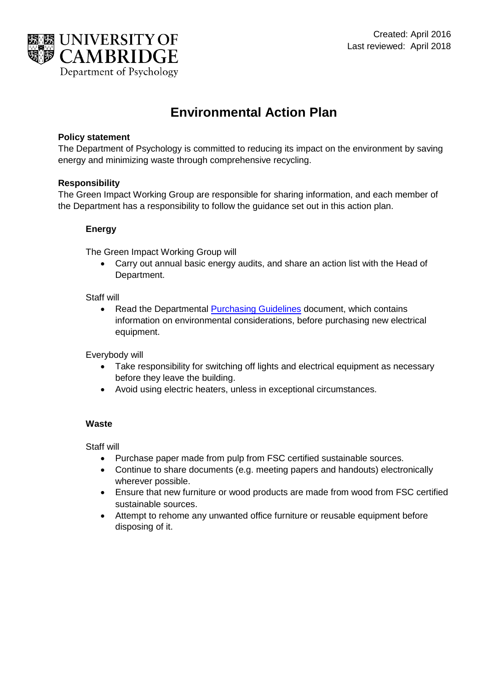

# **Environmental Action Plan**

# **Policy statement**

The Department of Psychology is committed to reducing its impact on the environment by saving energy and minimizing waste through comprehensive recycling.

# **Responsibility**

The Green Impact Working Group are responsible for sharing information, and each member of the Department has a responsibility to follow the guidance set out in this action plan.

# **Energy**

The Green Impact Working Group will

 Carry out annual basic energy audits, and share an action list with the Head of Department.

### Staff will

• Read the Departmental [Purchasing Guidelines](https://www.psychol.cam.ac.uk/psych-cam-only/accounts-info/purchasing-guidelines) document, which contains information on environmental considerations, before purchasing new electrical equipment.

Everybody will

- Take responsibility for switching off lights and electrical equipment as necessary before they leave the building.
- Avoid using electric heaters, unless in exceptional circumstances.

### **Waste**

Staff will

- Purchase paper made from pulp from [FSC](http://www.greenimpact.org.uk/glossary#fsc) certified sustainable sources.
- Continue to share documents (e.g. meeting papers and handouts) electronically wherever possible.
- Ensure that new furniture or wood products are made from wood from [FSC](http://www.greenimpact.org.uk/glossary#fsc) certified sustainable sources.
- Attempt to rehome any unwanted office furniture or reusable equipment before disposing of it.